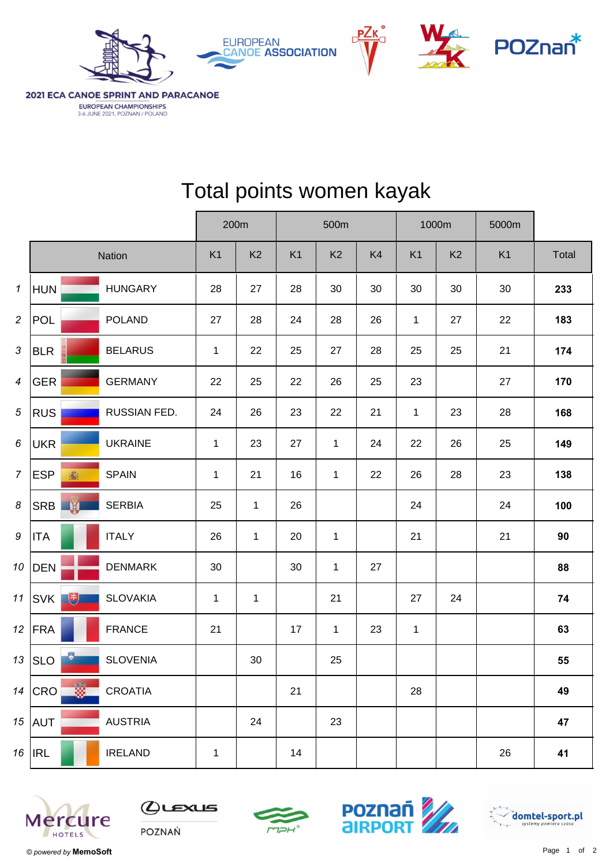





2021 ECA CANOE SPRINT AND PARACANOE EUROPEAN CHAMPIONSHIPS 3-6 JUNE 2021, POZNAN / POLAND

|                  |                       |                                 |                | 200m           |                | 500m           |    |                | 1000m          | 5000m          |       |  |
|------------------|-----------------------|---------------------------------|----------------|----------------|----------------|----------------|----|----------------|----------------|----------------|-------|--|
|                  |                       | Nation                          | K <sub>1</sub> | K <sub>2</sub> | K <sub>1</sub> | K <sub>2</sub> | K4 | K <sub>1</sub> | K <sub>2</sub> | K <sub>1</sub> | Total |  |
| $\mathbf{1}$     | <b>HUN</b>            | <b>HUNGARY</b>                  | 28             | 27             | 28             | 30             | 30 | 30             | 30             | 30             | 233   |  |
| $\overline{2}$   | <b>POL</b>            | <b>POLAND</b>                   | 27             | 28             | 24             | 28             | 26 | $\mathbf{1}$   | 27             | 22             | 183   |  |
| $\mathbf{3}$     | <b>BLR</b>            | <b>BELARUS</b>                  | $\mathbf{1}$   | 22             | 25             | 27             | 28 | 25             | 25             | 21             | 174   |  |
| $\boldsymbol{4}$ | <b>GER</b>            | <b>GERMANY</b>                  | 22             | 25             | 22             | 26             | 25 | 23             |                | 27             | 170   |  |
| $\sqrt{5}$       | <b>RUS</b>            | RUSSIAN FED.                    | 24             | 26             | 23             | 22             | 21 | $\mathbf{1}$   | 23             | 28             | 168   |  |
| $6\phantom{1}6$  | <b>UKR</b>            | <b>UKRAINE</b>                  | $\mathbf{1}$   | 23             | 27             | $\mathbf{1}$   | 24 | 22             | 26             | 25             | 149   |  |
| $\overline{7}$   | <b>ESP</b><br>壽       | <b>SPAIN</b>                    | $\mathbf{1}$   | 21             | 16             | $\mathbf{1}$   | 22 | 26             | 28             | 23             | 138   |  |
| 8                | SRB W                 | <b>SERBIA</b>                   | 25             | $\mathbf{1}$   | 26             |                |    | 24             |                | 24             | 100   |  |
| $\boldsymbol{9}$ | <b>ITA</b>            | <b>ITALY</b>                    | 26             | $\mathbf{1}$   | 20             | $\mathbf 1$    |    | 21             |                | 21             | 90    |  |
| 10               | <b>DEN</b>            | <b>DENMARK</b>                  | 30             |                | 30             | $\mathbf{1}$   | 27 |                |                |                | 88    |  |
| 11               | 电<br>SVK              | <b>SLOVAKIA</b>                 | $\mathbf{1}$   | $\mathbf{1}$   |                | 21             |    | 27             | 24             |                | 74    |  |
| 12               | FRA                   | <b>FRANCE</b>                   | 21             |                | 17             | $\mathbf{1}$   | 23 | $\mathbf{1}$   |                |                | 63    |  |
|                  | $\bullet$<br>$13$ SLO | <b>SLOVENIA</b>                 |                | 30             |                | 25             |    |                |                |                | 55    |  |
|                  | $14$ CRO              | $\frac{1}{2}$<br><b>CROATIA</b> |                |                | 21             |                |    | 28             |                |                | 49    |  |
|                  | $15$ AUT              | <b>AUSTRIA</b>                  |                | 24             |                | 23             |    |                |                |                | 47    |  |
|                  | $16$   IRL            | <b>IRELAND</b>                  | $\mathbf 1$    |                | 14             |                |    |                |                | 26             | 41    |  |

## Total points women kayak